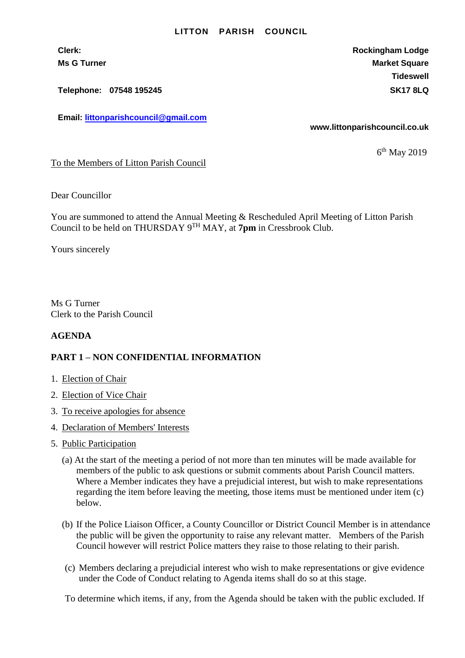## **LITTON PARISH COUNCIL**

**Telephone: 07548 195245 SK17 8LQ**

**Email: [littonparishcouncil@gmail.com](mailto:littonparishcouncil@gmail.com)**

**Clerk: Rockingham Lodge Ms G Turner Market Square** Market Square Market Square **Tideswell**

**www.littonparishcouncil.co.uk**

6 th May 2019

To the Members of Litton Parish Council

Dear Councillor

You are summoned to attend the Annual Meeting & Rescheduled April Meeting of Litton Parish Council to be held on THURSDAY 9 TH MAY, at **7pm** in Cressbrook Club.

Yours sincerely

Ms G Turner Clerk to the Parish Council

## **AGENDA**

## **PART 1 – NON CONFIDENTIAL INFORMATION**

- 1. Election of Chair
- 2. Election of Vice Chair
- 3. To receive apologies for absence
- 4. Declaration of Members' Interests
- 5. Public Participation
	- (a) At the start of the meeting a period of not more than ten minutes will be made available for members of the public to ask questions or submit comments about Parish Council matters. Where a Member indicates they have a prejudicial interest, but wish to make representations regarding the item before leaving the meeting, those items must be mentioned under item (c) below.
	- (b) If the Police Liaison Officer, a County Councillor or District Council Member is in attendance the public will be given the opportunity to raise any relevant matter. Members of the Parish Council however will restrict Police matters they raise to those relating to their parish.
	- (c) Members declaring a prejudicial interest who wish to make representations or give evidence under the Code of Conduct relating to Agenda items shall do so at this stage.

To determine which items, if any, from the Agenda should be taken with the public excluded. If